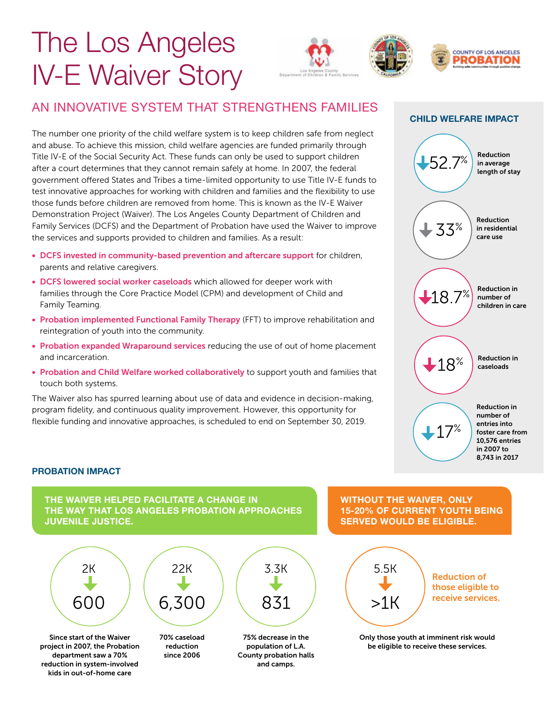# The Los Angeles IV-E Waiver Story



# AN INNOVATIVE SYSTEM THAT STRENGTHENS FAMILIES

The number one priority of the child welfare system is to keep children safe from neglect and abuse. To achieve this mission, child welfare agencies are funded primarily through Title IV-E of the Social Security Act. These funds can only be used to support children after a court determines that they cannot remain safely at home. In 2007, the federal government offered States and Tribes a time-limited opportunity to use Title IV-E funds to test innovative approaches for working with children and families and the flexibility to use those funds before children are removed from home. This is known as the IV-E Waiver Demonstration Project (Waiver). The Los Angeles County Department of Children and Family Services (DCFS) and the Department of Probation have used the Waiver to improve the services and supports provided to children and families. As a result:

- DCFS invested in community-based prevention and aftercare support for children, parents and relative caregivers.
- DCFS lowered social worker caseloads which allowed for deeper work with families through the Core Practice Model (CPM) and development of Child and Family Teaming.
- Probation implemented Functional Family Therapy (FFT) to improve rehabilitation and reintegration of youth into the community.
- Probation expanded Wraparound services reducing the use of out of home placement and incarceration.
- Probation and Child Welfare worked collaboratively to support youth and families that touch both systems.

The Waiver also has spurred learning about use of data and evidence in decision-making, program fidelity, and continuous quality improvement. However, this opportunity for flexible funding and innovative approaches, is scheduled to end on September 30, 2019.



### **PROBATION IMPACT**

kids in out-of-home care

THE WAIVER HELPED FACILITATE A CHANGE IN THE WAY THAT LOS ANGELES PROBATION APPROACHES JUVENILE JUSTICE.



WITHOUT THE WAIVER, ONLY 15-20% OF CURRENT YOUTH BEING SERVED WOULD BE ELIGIBLE.



Only those youth at imminent risk would be eligible to receive these services.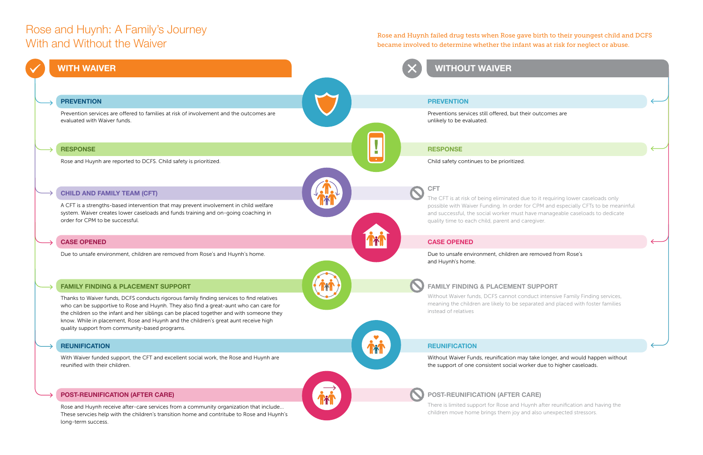**PREVENTION**

Prevention services are offered to families at risk of involvement and the outcomes are evaluated with Waiver funds.

### **CASE OPENED**

Due to unsafe environment, children are removed from Rose's and Huynh's home.

### **CHILD AND FAMILY TEAM (CFT)**

A CFT is a strengths-based intervention that may prevent involvement in child welfare system. Waiver creates lower caseloads and funds training and on-going coaching in order for CPM to be successful.

### **REUNIFICATION**

With Waiver funded support, the CFT and excellent social work, the Rose and Huynh are reunified with their children.

### **POST-REUNIFICATION (AFTER CARE)**

Rose and Huynh receive after-care services from a community organization that include... These servcies help with the children's transition home and contritube to Rose and Huynh's long-term success.

### **RESPONSE**

Rose and Huynh are reported to DCFS. Child safety is prioritized.

### **FAMILY FINDING & PLACEMENT SUPPORT**

Thanks to Waiver funds, DCFS conducts rigorous family finding services to find relatives who can be supportive to Rose and Huynh. They also find a great-aunt who can care for the children so the infant and her siblings can be placed together and with someone they know. While in placement, Rose and Huynh and the children's great aunt receive high quality support from community-based programs.

### **PREVENTION**

Preventions services still offered, but their outcomes are unlikely to be evaluated.

### **CASE OPENED**

Due to unsafe environment, children are removed from Rose's and Huynh's home.



quality time to each child, parent and caregiver.

## **REUNIFICATION**

the support of one consistent social worker due to higher caseloads.





There is limited support for Rose and Huynh after reunification and having the children move home brings them joy and also unexpected stressors.

### **RESPONSE**

Child safety continues to be prioritized.

## **FAMILY FINDING & PLACEMENT SUPPORT**

instead of relatives

## **WITH WAIVER**

**!**

# Rose and Huynh: A Family's Journey With and Without the Waiver

Rose and Huynh failed drug tests when Rose gave birth to their youngest child and DCFS became involved to determine whether the infant was at risk for neglect or abuse.

# **WITHOUT WAIVER**